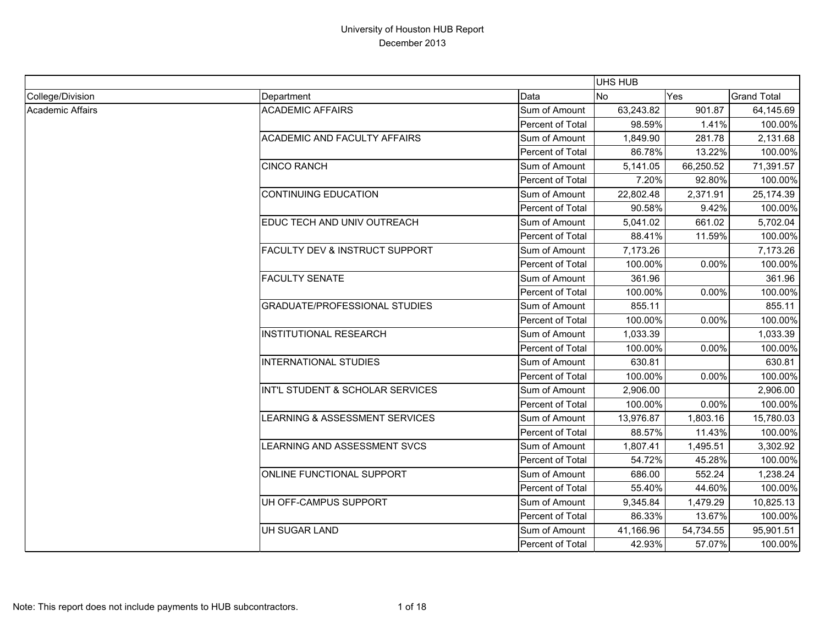|                  |                                           |                         | <b>UHS HUB</b> |           |                    |
|------------------|-------------------------------------------|-------------------------|----------------|-----------|--------------------|
| College/Division | Department                                | Data                    | <b>No</b>      | Yes       | <b>Grand Total</b> |
| Academic Affairs | <b>ACADEMIC AFFAIRS</b>                   | Sum of Amount           | 63,243.82      | 901.87    | 64,145.69          |
|                  |                                           | Percent of Total        | 98.59%         | 1.41%     | 100.00%            |
|                  | <b>ACADEMIC AND FACULTY AFFAIRS</b>       | Sum of Amount           | 1,849.90       | 281.78    | 2,131.68           |
|                  |                                           | Percent of Total        | 86.78%         | 13.22%    | 100.00%            |
|                  | <b>CINCO RANCH</b>                        | Sum of Amount           | 5,141.05       | 66,250.52 | 71,391.57          |
|                  |                                           | Percent of Total        | 7.20%          | 92.80%    | 100.00%            |
|                  | <b>CONTINUING EDUCATION</b>               | Sum of Amount           | 22,802.48      | 2,371.91  | 25,174.39          |
|                  |                                           | Percent of Total        | 90.58%         | 9.42%     | 100.00%            |
|                  | EDUC TECH AND UNIV OUTREACH               | Sum of Amount           | 5,041.02       | 661.02    | 5,702.04           |
|                  |                                           | <b>Percent of Total</b> | 88.41%         | 11.59%    | 100.00%            |
|                  | <b>FACULTY DEV &amp; INSTRUCT SUPPORT</b> | Sum of Amount           | 7,173.26       |           | 7,173.26           |
|                  |                                           | Percent of Total        | 100.00%        | 0.00%     | 100.00%            |
|                  | <b>FACULTY SENATE</b>                     | Sum of Amount           | 361.96         |           | 361.96             |
|                  |                                           | Percent of Total        | 100.00%        | 0.00%     | 100.00%            |
|                  | <b>GRADUATE/PROFESSIONAL STUDIES</b>      | Sum of Amount           | 855.11         |           | 855.11             |
|                  |                                           | Percent of Total        | 100.00%        | 0.00%     | 100.00%            |
|                  | <b>INSTITUTIONAL RESEARCH</b>             | Sum of Amount           | 1,033.39       |           | 1,033.39           |
|                  |                                           | Percent of Total        | 100.00%        | 0.00%     | 100.00%            |
|                  | <b>INTERNATIONAL STUDIES</b>              | Sum of Amount           | 630.81         |           | 630.81             |
|                  |                                           | Percent of Total        | 100.00%        | 0.00%     | 100.00%            |
|                  | INT'L STUDENT & SCHOLAR SERVICES          | Sum of Amount           | 2,906.00       |           | 2,906.00           |
|                  |                                           | Percent of Total        | 100.00%        | 0.00%     | 100.00%            |
|                  | LEARNING & ASSESSMENT SERVICES            | Sum of Amount           | 13,976.87      | 1,803.16  | 15,780.03          |
|                  |                                           | Percent of Total        | 88.57%         | 11.43%    | 100.00%            |
|                  | LEARNING AND ASSESSMENT SVCS              | Sum of Amount           | 1,807.41       | 1,495.51  | 3,302.92           |
|                  |                                           | Percent of Total        | 54.72%         | 45.28%    | 100.00%            |
|                  | ONLINE FUNCTIONAL SUPPORT                 | Sum of Amount           | 686.00         | 552.24    | 1,238.24           |
|                  |                                           | Percent of Total        | 55.40%         | 44.60%    | 100.00%            |
|                  | UH OFF-CAMPUS SUPPORT                     | Sum of Amount           | 9,345.84       | 1,479.29  | 10,825.13          |
|                  |                                           | Percent of Total        | 86.33%         | 13.67%    | 100.00%            |
|                  | <b>UH SUGAR LAND</b>                      | Sum of Amount           | 41,166.96      | 54,734.55 | 95,901.51          |
|                  |                                           | Percent of Total        | 42.93%         | 57.07%    | 100.00%            |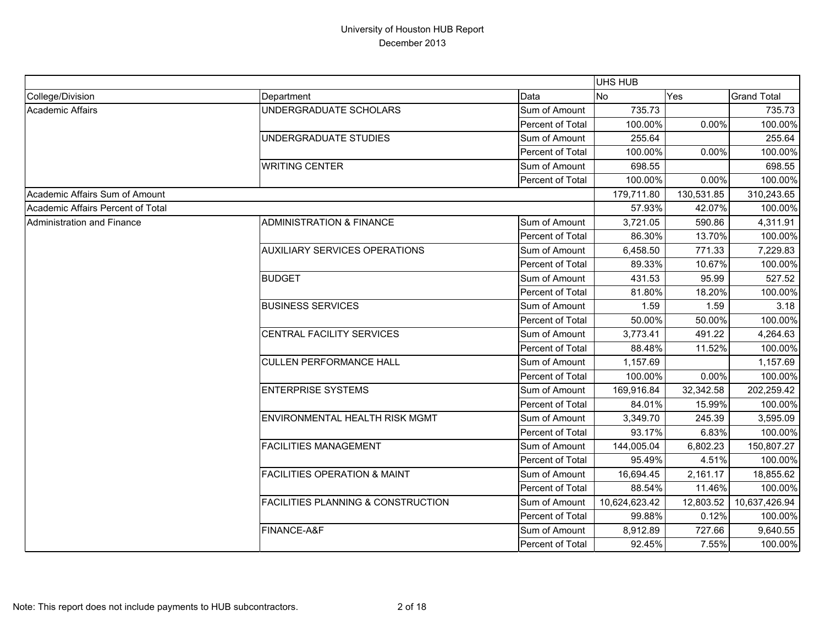|                                   |                                               |                         | <b>UHS HUB</b> |            |                    |
|-----------------------------------|-----------------------------------------------|-------------------------|----------------|------------|--------------------|
| College/Division                  | Department                                    | Data                    | <b>No</b>      | Yes        | <b>Grand Total</b> |
| <b>Academic Affairs</b>           | UNDERGRADUATE SCHOLARS                        | Sum of Amount           | 735.73         |            | 735.73             |
|                                   |                                               | Percent of Total        | 100.00%        | 0.00%      | 100.00%            |
|                                   | UNDERGRADUATE STUDIES                         | Sum of Amount           | 255.64         |            | 255.64             |
|                                   |                                               | <b>Percent of Total</b> | 100.00%        | 0.00%      | 100.00%            |
|                                   | <b>WRITING CENTER</b>                         | Sum of Amount           | 698.55         |            | 698.55             |
|                                   |                                               | Percent of Total        | 100.00%        | 0.00%      | 100.00%            |
| Academic Affairs Sum of Amount    |                                               |                         | 179,711.80     | 130,531.85 | 310,243.65         |
| Academic Affairs Percent of Total |                                               |                         | 57.93%         | 42.07%     | 100.00%            |
| <b>Administration and Finance</b> | <b>ADMINISTRATION &amp; FINANCE</b>           | Sum of Amount           | 3,721.05       | 590.86     | 4,311.91           |
|                                   |                                               | Percent of Total        | 86.30%         | 13.70%     | 100.00%            |
|                                   | <b>AUXILIARY SERVICES OPERATIONS</b>          | Sum of Amount           | 6,458.50       | 771.33     | 7,229.83           |
|                                   |                                               | Percent of Total        | 89.33%         | 10.67%     | 100.00%            |
|                                   | <b>BUDGET</b>                                 | Sum of Amount           | 431.53         | 95.99      | 527.52             |
|                                   |                                               | Percent of Total        | 81.80%         | 18.20%     | 100.00%            |
|                                   | <b>BUSINESS SERVICES</b>                      | Sum of Amount           | 1.59           | 1.59       | 3.18               |
|                                   |                                               | Percent of Total        | 50.00%         | 50.00%     | 100.00%            |
|                                   | CENTRAL FACILITY SERVICES                     | Sum of Amount           | 3,773.41       | 491.22     | 4,264.63           |
|                                   |                                               | Percent of Total        | 88.48%         | 11.52%     | 100.00%            |
|                                   | <b>CULLEN PERFORMANCE HALL</b>                | Sum of Amount           | 1,157.69       |            | 1,157.69           |
|                                   |                                               | Percent of Total        | 100.00%        | 0.00%      | 100.00%            |
|                                   | <b>ENTERPRISE SYSTEMS</b>                     | Sum of Amount           | 169,916.84     | 32,342.58  | 202,259.42         |
|                                   |                                               | Percent of Total        | 84.01%         | 15.99%     | 100.00%            |
|                                   | ENVIRONMENTAL HEALTH RISK MGMT                | Sum of Amount           | 3,349.70       | 245.39     | 3,595.09           |
|                                   |                                               | Percent of Total        | 93.17%         | 6.83%      | 100.00%            |
|                                   | <b>FACILITIES MANAGEMENT</b>                  | Sum of Amount           | 144,005.04     | 6,802.23   | 150,807.27         |
|                                   |                                               | <b>Percent of Total</b> | 95.49%         | 4.51%      | 100.00%            |
|                                   | <b>FACILITIES OPERATION &amp; MAINT</b>       | Sum of Amount           | 16,694.45      | 2,161.17   | 18,855.62          |
|                                   |                                               | Percent of Total        | 88.54%         | 11.46%     | 100.00%            |
|                                   | <b>FACILITIES PLANNING &amp; CONSTRUCTION</b> | Sum of Amount           | 10,624,623.42  | 12,803.52  | 10,637,426.94      |
|                                   |                                               | Percent of Total        | 99.88%         | 0.12%      | 100.00%            |
|                                   | FINANCE-A&F                                   | Sum of Amount           | 8,912.89       | 727.66     | 9,640.55           |
|                                   |                                               | Percent of Total        | 92.45%         | 7.55%      | 100.00%            |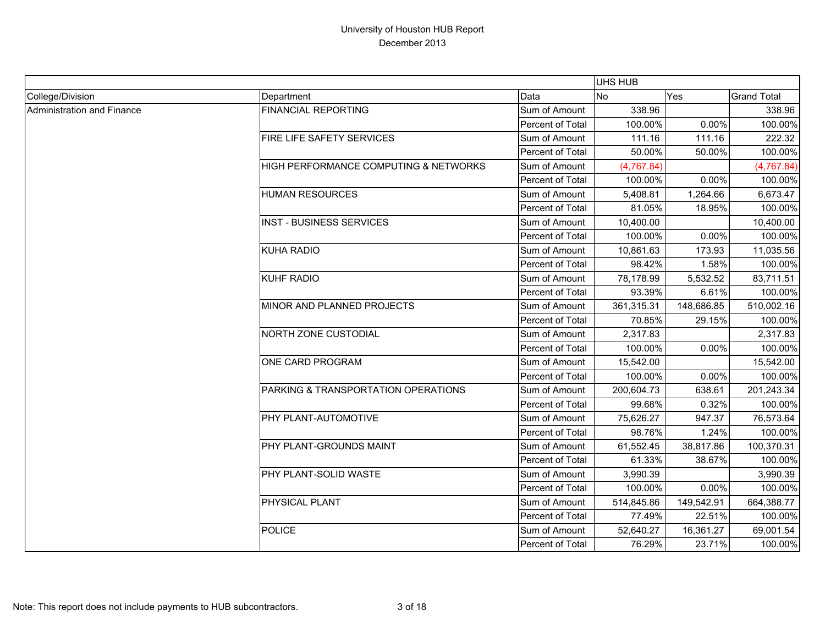|                            |                                       |                  | UHS HUB    |            |                    |
|----------------------------|---------------------------------------|------------------|------------|------------|--------------------|
| College/Division           | Department                            | Data             | No         | Yes        | <b>Grand Total</b> |
| Administration and Finance | <b>FINANCIAL REPORTING</b>            | Sum of Amount    | 338.96     |            | 338.96             |
|                            |                                       | Percent of Total | 100.00%    | 0.00%      | 100.00%            |
|                            | FIRE LIFE SAFETY SERVICES             | Sum of Amount    | 111.16     | 111.16     | 222.32             |
|                            |                                       | Percent of Total | 50.00%     | 50.00%     | 100.00%            |
|                            | HIGH PERFORMANCE COMPUTING & NETWORKS | Sum of Amount    | (4,767.84) |            | (4,767.84)         |
|                            |                                       | Percent of Total | 100.00%    | 0.00%      | 100.00%            |
|                            | <b>HUMAN RESOURCES</b>                | Sum of Amount    | 5,408.81   | 1,264.66   | 6,673.47           |
|                            |                                       | Percent of Total | 81.05%     | 18.95%     | 100.00%            |
|                            | <b>INST - BUSINESS SERVICES</b>       | Sum of Amount    | 10,400.00  |            | 10,400.00          |
|                            |                                       | Percent of Total | 100.00%    | 0.00%      | 100.00%            |
|                            | <b>KUHA RADIO</b>                     | Sum of Amount    | 10,861.63  | 173.93     | 11,035.56          |
|                            |                                       | Percent of Total | 98.42%     | 1.58%      | 100.00%            |
|                            | <b>KUHF RADIO</b>                     | Sum of Amount    | 78,178.99  | 5,532.52   | 83,711.51          |
|                            |                                       | Percent of Total | 93.39%     | 6.61%      | 100.00%            |
|                            | MINOR AND PLANNED PROJECTS            | Sum of Amount    | 361,315.31 | 148,686.85 | 510,002.16         |
|                            |                                       | Percent of Total | 70.85%     | 29.15%     | 100.00%            |
|                            | NORTH ZONE CUSTODIAL                  | Sum of Amount    | 2,317.83   |            | 2,317.83           |
|                            |                                       | Percent of Total | 100.00%    | 0.00%      | 100.00%            |
|                            | ONE CARD PROGRAM                      | Sum of Amount    | 15,542.00  |            | 15,542.00          |
|                            |                                       | Percent of Total | 100.00%    | 0.00%      | 100.00%            |
|                            | PARKING & TRANSPORTATION OPERATIONS   | Sum of Amount    | 200,604.73 | 638.61     | 201,243.34         |
|                            |                                       | Percent of Total | 99.68%     | 0.32%      | 100.00%            |
|                            | PHY PLANT-AUTOMOTIVE                  | Sum of Amount    | 75,626.27  | 947.37     | 76,573.64          |
|                            |                                       | Percent of Total | 98.76%     | 1.24%      | 100.00%            |
|                            | PHY PLANT-GROUNDS MAINT               | Sum of Amount    | 61,552.45  | 38,817.86  | 100,370.31         |
|                            |                                       | Percent of Total | 61.33%     | 38.67%     | 100.00%            |
|                            | PHY PLANT-SOLID WASTE                 | Sum of Amount    | 3,990.39   |            | 3,990.39           |
|                            |                                       | Percent of Total | 100.00%    | 0.00%      | 100.00%            |
|                            | PHYSICAL PLANT                        | Sum of Amount    | 514,845.86 | 149,542.91 | 664,388.77         |
|                            |                                       | Percent of Total | 77.49%     | 22.51%     | 100.00%            |
|                            | <b>POLICE</b>                         | Sum of Amount    | 52,640.27  | 16,361.27  | 69,001.54          |
|                            |                                       | Percent of Total | 76.29%     | 23.71%     | 100.00%            |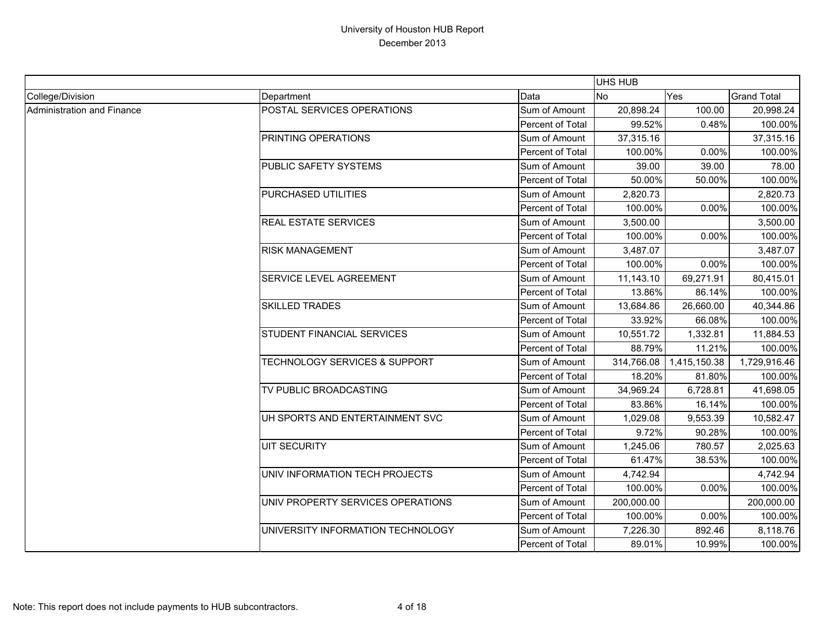|                            |                                          |                         | UHS HUB        |              |                    |
|----------------------------|------------------------------------------|-------------------------|----------------|--------------|--------------------|
| College/Division           | Department                               | Data                    | N <sub>o</sub> | Yes          | <b>Grand Total</b> |
| Administration and Finance | POSTAL SERVICES OPERATIONS               | Sum of Amount           | 20,898.24      | 100.00       | 20,998.24          |
|                            |                                          | Percent of Total        | 99.52%         | 0.48%        | 100.00%            |
|                            | PRINTING OPERATIONS                      | Sum of Amount           | 37,315.16      |              | 37,315.16          |
|                            |                                          | Percent of Total        | 100.00%        | 0.00%        | 100.00%            |
|                            | PUBLIC SAFETY SYSTEMS                    | Sum of Amount           | 39.00          | 39.00        | 78.00              |
|                            |                                          | Percent of Total        | 50.00%         | 50.00%       | 100.00%            |
|                            | PURCHASED UTILITIES                      | Sum of Amount           | 2,820.73       |              | 2,820.73           |
|                            |                                          | Percent of Total        | 100.00%        | 0.00%        | 100.00%            |
|                            | <b>REAL ESTATE SERVICES</b>              | Sum of Amount           | 3,500.00       |              | 3,500.00           |
|                            |                                          | <b>Percent of Total</b> | 100.00%        | 0.00%        | 100.00%            |
|                            | <b>RISK MANAGEMENT</b>                   | Sum of Amount           | 3,487.07       |              | 3,487.07           |
|                            |                                          | Percent of Total        | 100.00%        | 0.00%        | 100.00%            |
|                            | <b>SERVICE LEVEL AGREEMENT</b>           | Sum of Amount           | 11,143.10      | 69,271.91    | 80,415.01          |
|                            |                                          | Percent of Total        | 13.86%         | 86.14%       | 100.00%            |
|                            | <b>SKILLED TRADES</b>                    | Sum of Amount           | 13,684.86      | 26,660.00    | 40,344.86          |
|                            |                                          | Percent of Total        | 33.92%         | 66.08%       | 100.00%            |
|                            | <b>STUDENT FINANCIAL SERVICES</b>        | Sum of Amount           | 10,551.72      | 1,332.81     | 11,884.53          |
|                            |                                          | Percent of Total        | 88.79%         | 11.21%       | 100.00%            |
|                            | <b>TECHNOLOGY SERVICES &amp; SUPPORT</b> | Sum of Amount           | 314,766.08     | 1,415,150.38 | 1,729,916.46       |
|                            |                                          | Percent of Total        | 18.20%         | 81.80%       | 100.00%            |
|                            | TV PUBLIC BROADCASTING                   | Sum of Amount           | 34,969.24      | 6,728.81     | 41,698.05          |
|                            |                                          | <b>Percent of Total</b> | 83.86%         | 16.14%       | 100.00%            |
|                            | UH SPORTS AND ENTERTAINMENT SVC          | Sum of Amount           | 1,029.08       | 9,553.39     | 10,582.47          |
|                            |                                          | Percent of Total        | 9.72%          | 90.28%       | 100.00%            |
|                            | <b>UIT SECURITY</b>                      | Sum of Amount           | 1,245.06       | 780.57       | 2,025.63           |
|                            |                                          | Percent of Total        | 61.47%         | 38.53%       | 100.00%            |
|                            | UNIV INFORMATION TECH PROJECTS           | Sum of Amount           | 4,742.94       |              | 4,742.94           |
|                            |                                          | Percent of Total        | 100.00%        | 0.00%        | 100.00%            |
|                            | UNIV PROPERTY SERVICES OPERATIONS        | Sum of Amount           | 200,000.00     |              | 200,000.00         |
|                            |                                          | Percent of Total        | 100.00%        | 0.00%        | 100.00%            |
|                            | UNIVERSITY INFORMATION TECHNOLOGY        | Sum of Amount           | 7,226.30       | 892.46       | 8,118.76           |
|                            |                                          | Percent of Total        | 89.01%         | 10.99%       | 100.00%            |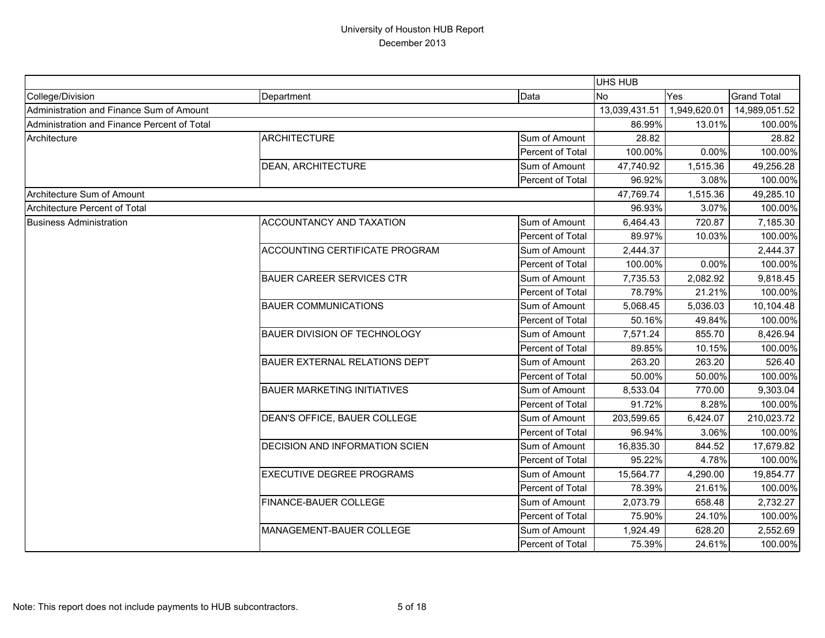|                                             |                                       |                  | UHS HUB       |              |                    |
|---------------------------------------------|---------------------------------------|------------------|---------------|--------------|--------------------|
| College/Division                            | Department                            | Data             | <b>No</b>     | Yes          | <b>Grand Total</b> |
| Administration and Finance Sum of Amount    |                                       |                  | 13,039,431.51 | 1,949,620.01 | 14,989,051.52      |
| Administration and Finance Percent of Total |                                       |                  | 86.99%        | 13.01%       | 100.00%            |
| Architecture                                | <b>ARCHITECTURE</b>                   | Sum of Amount    | 28.82         |              | 28.82              |
|                                             |                                       | Percent of Total | 100.00%       | 0.00%        | 100.00%            |
|                                             | <b>DEAN, ARCHITECTURE</b>             | Sum of Amount    | 47,740.92     | 1,515.36     | 49,256.28          |
|                                             |                                       | Percent of Total | 96.92%        | 3.08%        | 100.00%            |
| Architecture Sum of Amount                  |                                       |                  | 47,769.74     | 1,515.36     | 49,285.10          |
| <b>Architecture Percent of Total</b>        |                                       |                  | 96.93%        | 3.07%        | 100.00%            |
| <b>Business Administration</b>              | <b>ACCOUNTANCY AND TAXATION</b>       | Sum of Amount    | 6,464.43      | 720.87       | 7,185.30           |
|                                             |                                       | Percent of Total | 89.97%        | 10.03%       | 100.00%            |
|                                             | <b>ACCOUNTING CERTIFICATE PROGRAM</b> | Sum of Amount    | 2,444.37      |              | 2,444.37           |
|                                             |                                       | Percent of Total | 100.00%       | 0.00%        | 100.00%            |
|                                             | <b>BAUER CAREER SERVICES CTR</b>      | Sum of Amount    | 7,735.53      | 2,082.92     | 9,818.45           |
|                                             |                                       | Percent of Total | 78.79%        | 21.21%       | 100.00%            |
|                                             | <b>BAUER COMMUNICATIONS</b>           | Sum of Amount    | 5,068.45      | 5,036.03     | 10,104.48          |
|                                             |                                       | Percent of Total | 50.16%        | 49.84%       | 100.00%            |
|                                             | <b>BAUER DIVISION OF TECHNOLOGY</b>   | Sum of Amount    | 7,571.24      | 855.70       | 8,426.94           |
|                                             |                                       | Percent of Total | 89.85%        | 10.15%       | 100.00%            |
|                                             | <b>BAUER EXTERNAL RELATIONS DEPT</b>  | Sum of Amount    | 263.20        | 263.20       | 526.40             |
|                                             |                                       | Percent of Total | 50.00%        | 50.00%       | 100.00%            |
|                                             | <b>BAUER MARKETING INITIATIVES</b>    | Sum of Amount    | 8,533.04      | 770.00       | 9,303.04           |
|                                             |                                       | Percent of Total | 91.72%        | 8.28%        | 100.00%            |
|                                             | DEAN'S OFFICE, BAUER COLLEGE          | Sum of Amount    | 203,599.65    | 6,424.07     | 210,023.72         |
|                                             |                                       | Percent of Total | 96.94%        | 3.06%        | 100.00%            |
|                                             | <b>DECISION AND INFORMATION SCIEN</b> | Sum of Amount    | 16,835.30     | 844.52       | 17,679.82          |
|                                             |                                       | Percent of Total | 95.22%        | 4.78%        | 100.00%            |
|                                             | <b>EXECUTIVE DEGREE PROGRAMS</b>      | Sum of Amount    | 15,564.77     | 4,290.00     | 19,854.77          |
|                                             |                                       | Percent of Total | 78.39%        | 21.61%       | 100.00%            |
|                                             | <b>FINANCE-BAUER COLLEGE</b>          | Sum of Amount    | 2,073.79      | 658.48       | 2,732.27           |
|                                             |                                       | Percent of Total | 75.90%        | 24.10%       | 100.00%            |
|                                             | MANAGEMENT-BAUER COLLEGE              | Sum of Amount    | 1,924.49      | 628.20       | 2,552.69           |
|                                             |                                       | Percent of Total | 75.39%        | 24.61%       | 100.00%            |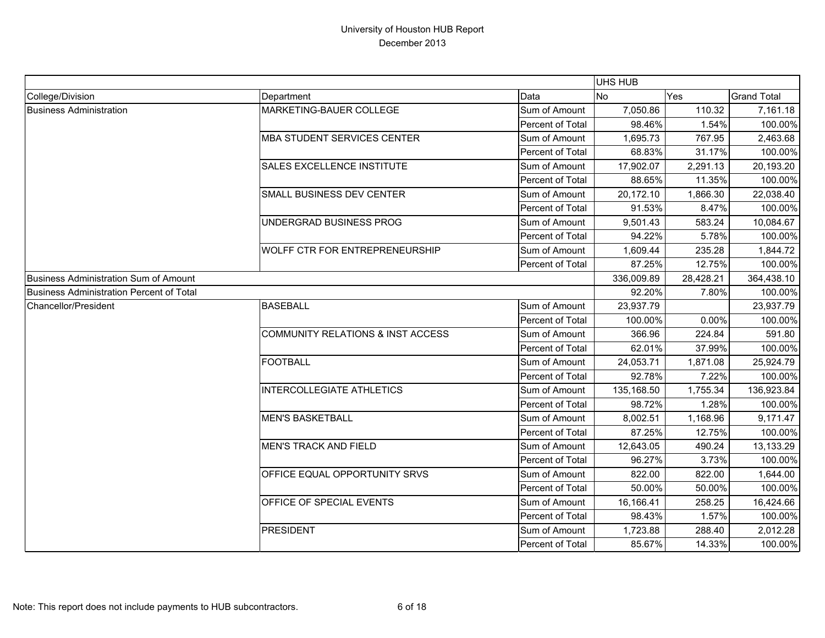|                                                 |                                              |                  | UHS HUB    |           |                    |
|-------------------------------------------------|----------------------------------------------|------------------|------------|-----------|--------------------|
| College/Division                                | Department                                   | Data             | No         | Yes       | <b>Grand Total</b> |
| <b>Business Administration</b>                  | MARKETING-BAUER COLLEGE                      | Sum of Amount    | 7,050.86   | 110.32    | 7,161.18           |
|                                                 |                                              | Percent of Total | 98.46%     | 1.54%     | 100.00%            |
|                                                 | <b>MBA STUDENT SERVICES CENTER</b>           | Sum of Amount    | 1,695.73   | 767.95    | 2,463.68           |
|                                                 |                                              | Percent of Total | 68.83%     | 31.17%    | 100.00%            |
|                                                 | <b>SALES EXCELLENCE INSTITUTE</b>            | Sum of Amount    | 17,902.07  | 2,291.13  | 20,193.20          |
|                                                 |                                              | Percent of Total | 88.65%     | 11.35%    | 100.00%            |
|                                                 | SMALL BUSINESS DEV CENTER                    | Sum of Amount    | 20,172.10  | 1,866.30  | 22,038.40          |
|                                                 |                                              | Percent of Total | 91.53%     | 8.47%     | 100.00%            |
|                                                 | UNDERGRAD BUSINESS PROG                      | Sum of Amount    | 9,501.43   | 583.24    | 10,084.67          |
|                                                 |                                              | Percent of Total | 94.22%     | 5.78%     | 100.00%            |
|                                                 | WOLFF CTR FOR ENTREPRENEURSHIP               | Sum of Amount    | 1,609.44   | 235.28    | 1,844.72           |
|                                                 |                                              | Percent of Total | 87.25%     | 12.75%    | 100.00%            |
| <b>Business Administration Sum of Amount</b>    |                                              |                  | 336,009.89 | 28,428.21 | 364,438.10         |
| <b>Business Administration Percent of Total</b> |                                              |                  | 92.20%     | 7.80%     | 100.00%            |
| Chancellor/President                            | <b>BASEBALL</b>                              | Sum of Amount    | 23,937.79  |           | 23,937.79          |
|                                                 |                                              | Percent of Total | 100.00%    | 0.00%     | 100.00%            |
|                                                 | <b>COMMUNITY RELATIONS &amp; INST ACCESS</b> | Sum of Amount    | 366.96     | 224.84    | 591.80             |
|                                                 |                                              | Percent of Total | 62.01%     | 37.99%    | 100.00%            |
|                                                 | <b>FOOTBALL</b>                              | Sum of Amount    | 24,053.71  | 1,871.08  | 25,924.79          |
|                                                 |                                              | Percent of Total | 92.78%     | 7.22%     | 100.00%            |
|                                                 | <b>INTERCOLLEGIATE ATHLETICS</b>             | Sum of Amount    | 135,168.50 | 1,755.34  | 136,923.84         |
|                                                 |                                              | Percent of Total | 98.72%     | 1.28%     | 100.00%            |
|                                                 | <b>MEN'S BASKETBALL</b>                      | Sum of Amount    | 8,002.51   | 1,168.96  | 9,171.47           |
|                                                 |                                              | Percent of Total | 87.25%     | 12.75%    | 100.00%            |
|                                                 | <b>MEN'S TRACK AND FIELD</b>                 | Sum of Amount    | 12,643.05  | 490.24    | 13,133.29          |
|                                                 |                                              | Percent of Total | 96.27%     | 3.73%     | 100.00%            |
|                                                 | OFFICE EQUAL OPPORTUNITY SRVS                | Sum of Amount    | 822.00     | 822.00    | 1,644.00           |
|                                                 |                                              | Percent of Total | 50.00%     | 50.00%    | 100.00%            |
|                                                 | OFFICE OF SPECIAL EVENTS                     | Sum of Amount    | 16,166.41  | 258.25    | 16,424.66          |
|                                                 |                                              | Percent of Total | 98.43%     | 1.57%     | 100.00%            |
|                                                 | <b>PRESIDENT</b>                             | Sum of Amount    | 1,723.88   | 288.40    | 2,012.28           |
|                                                 |                                              | Percent of Total | 85.67%     | 14.33%    | 100.00%            |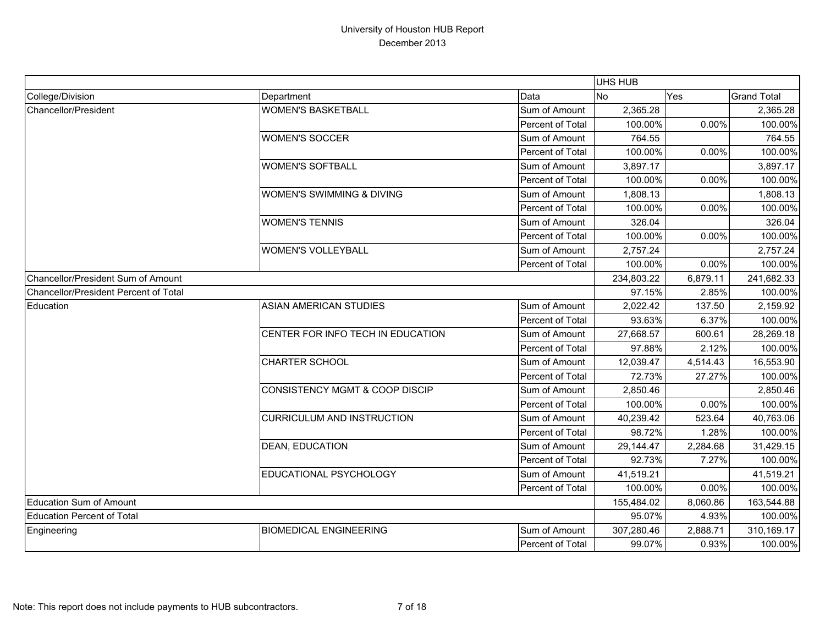|                                       |                                           |                  | <b>UHS HUB</b> |          |                    |
|---------------------------------------|-------------------------------------------|------------------|----------------|----------|--------------------|
| College/Division                      | Department                                | Data             | <b>No</b>      | Yes      | <b>Grand Total</b> |
| Chancellor/President                  | <b>WOMEN'S BASKETBALL</b>                 | Sum of Amount    | 2,365.28       |          | 2,365.28           |
|                                       |                                           | Percent of Total | 100.00%        | 0.00%    | 100.00%            |
|                                       | <b>WOMEN'S SOCCER</b>                     | Sum of Amount    | 764.55         |          | 764.55             |
|                                       |                                           | Percent of Total | 100.00%        | 0.00%    | 100.00%            |
|                                       | <b>WOMEN'S SOFTBALL</b>                   | Sum of Amount    | 3,897.17       |          | 3,897.17           |
|                                       |                                           | Percent of Total | 100.00%        | 0.00%    | 100.00%            |
|                                       | <b>WOMEN'S SWIMMING &amp; DIVING</b>      | Sum of Amount    | 1,808.13       |          | 1,808.13           |
|                                       |                                           | Percent of Total | 100.00%        | 0.00%    | 100.00%            |
|                                       | <b>WOMEN'S TENNIS</b>                     | Sum of Amount    | 326.04         |          | 326.04             |
|                                       |                                           | Percent of Total | 100.00%        | 0.00%    | 100.00%            |
|                                       | <b>WOMEN'S VOLLEYBALL</b>                 | Sum of Amount    | 2,757.24       |          | 2,757.24           |
|                                       |                                           | Percent of Total | 100.00%        | 0.00%    | 100.00%            |
| Chancellor/President Sum of Amount    |                                           |                  | 234,803.22     | 6,879.11 | 241,682.33         |
| Chancellor/President Percent of Total |                                           |                  | 97.15%         | 2.85%    | 100.00%            |
| Education                             | <b>ASIAN AMERICAN STUDIES</b>             | Sum of Amount    | 2,022.42       | 137.50   | 2,159.92           |
|                                       |                                           | Percent of Total | 93.63%         | 6.37%    | 100.00%            |
|                                       | CENTER FOR INFO TECH IN EDUCATION         | Sum of Amount    | 27,668.57      | 600.61   | 28,269.18          |
|                                       |                                           | Percent of Total | 97.88%         | 2.12%    | 100.00%            |
|                                       | <b>CHARTER SCHOOL</b>                     | Sum of Amount    | 12,039.47      | 4,514.43 | 16,553.90          |
|                                       |                                           | Percent of Total | 72.73%         | 27.27%   | 100.00%            |
|                                       | <b>CONSISTENCY MGMT &amp; COOP DISCIP</b> | Sum of Amount    | 2,850.46       |          | 2,850.46           |
|                                       |                                           | Percent of Total | 100.00%        | 0.00%    | 100.00%            |
|                                       | <b>CURRICULUM AND INSTRUCTION</b>         | Sum of Amount    | 40,239.42      | 523.64   | 40,763.06          |
|                                       |                                           | Percent of Total | 98.72%         | 1.28%    | 100.00%            |
|                                       | <b>DEAN, EDUCATION</b>                    | Sum of Amount    | 29,144.47      | 2,284.68 | 31,429.15          |
|                                       |                                           | Percent of Total | 92.73%         | 7.27%    | 100.00%            |
|                                       | EDUCATIONAL PSYCHOLOGY                    | Sum of Amount    | 41,519.21      |          | 41,519.21          |
|                                       |                                           | Percent of Total | 100.00%        | 0.00%    | 100.00%            |
| <b>Education Sum of Amount</b>        |                                           |                  | 155,484.02     | 8,060.86 | 163,544.88         |
| <b>Education Percent of Total</b>     |                                           |                  | 95.07%         | 4.93%    | 100.00%            |
| Engineering                           | <b>BIOMEDICAL ENGINEERING</b>             | Sum of Amount    | 307,280.46     | 2,888.71 | 310,169.17         |
|                                       |                                           | Percent of Total | 99.07%         | 0.93%    | 100.00%            |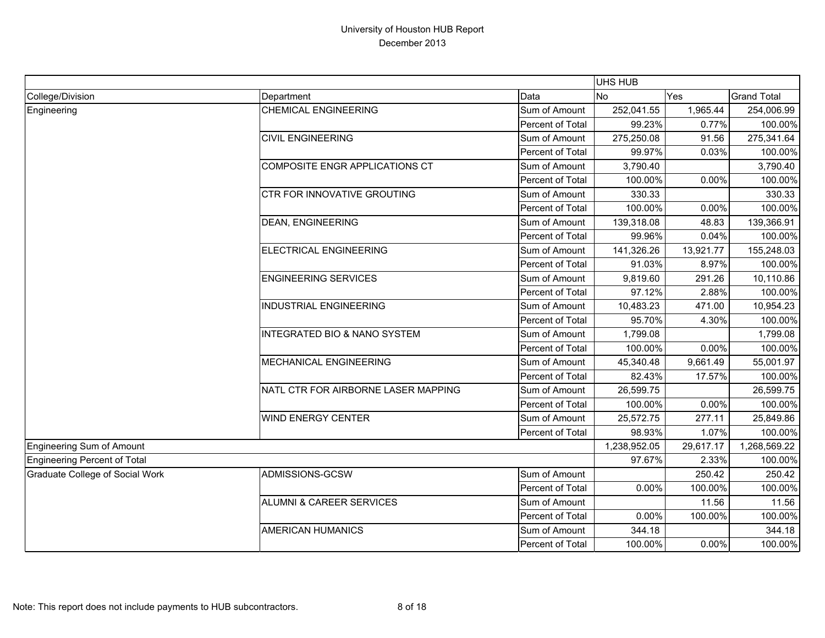|                                        |                                         |                  | UHS HUB      |           |                    |
|----------------------------------------|-----------------------------------------|------------------|--------------|-----------|--------------------|
| College/Division                       | Department                              | Data             | <b>No</b>    | Yes       | <b>Grand Total</b> |
| Engineering                            | <b>CHEMICAL ENGINEERING</b>             | Sum of Amount    | 252,041.55   | 1,965.44  | 254,006.99         |
|                                        |                                         | Percent of Total | 99.23%       | 0.77%     | 100.00%            |
|                                        | <b>CIVIL ENGINEERING</b>                | Sum of Amount    | 275,250.08   | 91.56     | 275,341.64         |
|                                        |                                         | Percent of Total | 99.97%       | 0.03%     | 100.00%            |
|                                        | COMPOSITE ENGR APPLICATIONS CT          | Sum of Amount    | 3,790.40     |           | 3,790.40           |
|                                        |                                         | Percent of Total | 100.00%      | 0.00%     | 100.00%            |
|                                        | <b>CTR FOR INNOVATIVE GROUTING</b>      | Sum of Amount    | 330.33       |           | 330.33             |
|                                        |                                         | Percent of Total | 100.00%      | 0.00%     | 100.00%            |
|                                        | <b>DEAN, ENGINEERING</b>                | Sum of Amount    | 139,318.08   | 48.83     | 139,366.91         |
|                                        |                                         | Percent of Total | 99.96%       | 0.04%     | 100.00%            |
|                                        | <b>ELECTRICAL ENGINEERING</b>           | Sum of Amount    | 141,326.26   | 13,921.77 | 155,248.03         |
|                                        |                                         | Percent of Total | 91.03%       | 8.97%     | 100.00%            |
|                                        | <b>ENGINEERING SERVICES</b>             | Sum of Amount    | 9,819.60     | 291.26    | 10,110.86          |
|                                        |                                         | Percent of Total | 97.12%       | 2.88%     | 100.00%            |
|                                        | <b>INDUSTRIAL ENGINEERING</b>           | Sum of Amount    | 10,483.23    | 471.00    | 10,954.23          |
|                                        |                                         | Percent of Total | 95.70%       | 4.30%     | 100.00%            |
|                                        | <b>INTEGRATED BIO &amp; NANO SYSTEM</b> | Sum of Amount    | 1,799.08     |           | 1,799.08           |
|                                        |                                         | Percent of Total | 100.00%      | 0.00%     | 100.00%            |
|                                        | <b>MECHANICAL ENGINEERING</b>           | Sum of Amount    | 45,340.48    | 9,661.49  | 55,001.97          |
|                                        |                                         | Percent of Total | 82.43%       | 17.57%    | 100.00%            |
|                                        | NATL CTR FOR AIRBORNE LASER MAPPING     | Sum of Amount    | 26,599.75    |           | 26,599.75          |
|                                        |                                         | Percent of Total | 100.00%      | 0.00%     | 100.00%            |
|                                        | <b>WIND ENERGY CENTER</b>               | Sum of Amount    | 25,572.75    | 277.11    | 25,849.86          |
|                                        |                                         | Percent of Total | 98.93%       | 1.07%     | 100.00%            |
| <b>Engineering Sum of Amount</b>       |                                         |                  | 1,238,952.05 | 29,617.17 | 1,268,569.22       |
| Engineering Percent of Total           |                                         |                  | 97.67%       | 2.33%     | 100.00%            |
| <b>Graduate College of Social Work</b> | ADMISSIONS-GCSW                         | Sum of Amount    |              | 250.42    | 250.42             |
|                                        |                                         | Percent of Total | 0.00%        | 100.00%   | 100.00%            |
|                                        | ALUMNI & CAREER SERVICES                | Sum of Amount    |              | 11.56     | 11.56              |
|                                        |                                         | Percent of Total | 0.00%        | 100.00%   | 100.00%            |
|                                        | <b>AMERICAN HUMANICS</b>                | Sum of Amount    | 344.18       |           | 344.18             |
|                                        |                                         | Percent of Total | 100.00%      | 0.00%     | 100.00%            |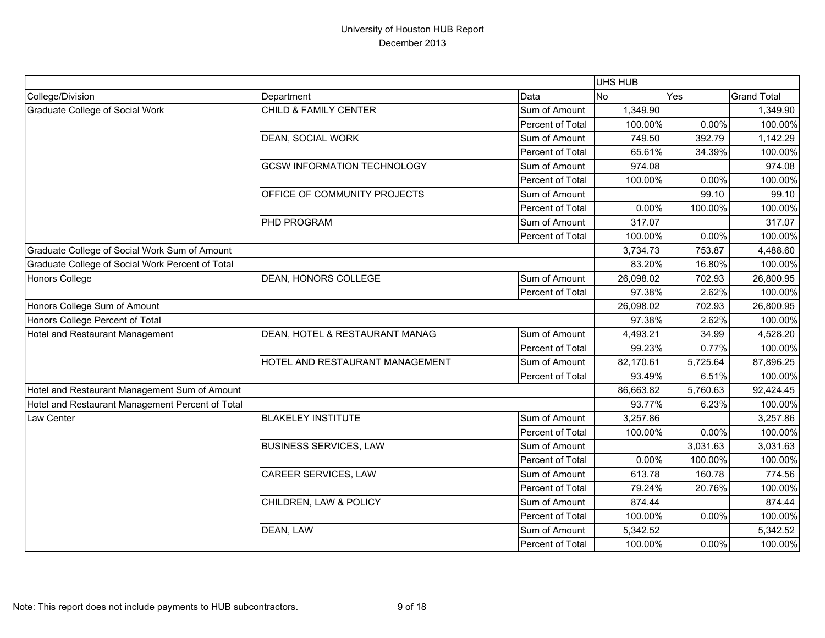|                                                  |                                    |                  | UHS HUB        |          |                    |
|--------------------------------------------------|------------------------------------|------------------|----------------|----------|--------------------|
| College/Division                                 | Department                         | Data             | N <sub>o</sub> | Yes      | <b>Grand Total</b> |
| <b>Graduate College of Social Work</b>           | CHILD & FAMILY CENTER              | Sum of Amount    | 1,349.90       |          | 1,349.90           |
|                                                  |                                    | Percent of Total | 100.00%        | 0.00%    | 100.00%            |
|                                                  | <b>DEAN, SOCIAL WORK</b>           | Sum of Amount    | 749.50         | 392.79   | 1,142.29           |
|                                                  |                                    | Percent of Total | 65.61%         | 34.39%   | 100.00%            |
|                                                  | <b>GCSW INFORMATION TECHNOLOGY</b> | Sum of Amount    | 974.08         |          | 974.08             |
|                                                  |                                    | Percent of Total | 100.00%        | 0.00%    | 100.00%            |
|                                                  | OFFICE OF COMMUNITY PROJECTS       | Sum of Amount    |                | 99.10    | 99.10              |
|                                                  |                                    | Percent of Total | 0.00%          | 100.00%  | 100.00%            |
|                                                  | PHD PROGRAM                        | Sum of Amount    | 317.07         |          | 317.07             |
|                                                  |                                    | Percent of Total | 100.00%        | 0.00%    | 100.00%            |
| Graduate College of Social Work Sum of Amount    |                                    |                  | 3,734.73       | 753.87   | 4,488.60           |
| Graduate College of Social Work Percent of Total |                                    |                  | 83.20%         | 16.80%   | 100.00%            |
| <b>Honors College</b>                            | DEAN, HONORS COLLEGE               | Sum of Amount    | 26,098.02      | 702.93   | 26,800.95          |
|                                                  |                                    | Percent of Total | 97.38%         | 2.62%    | 100.00%            |
| Honors College Sum of Amount                     |                                    |                  | 26,098.02      | 702.93   | 26,800.95          |
| Honors College Percent of Total                  |                                    |                  | 97.38%         | 2.62%    | 100.00%            |
| <b>Hotel and Restaurant Management</b>           | DEAN, HOTEL & RESTAURANT MANAG     | Sum of Amount    | 4,493.21       | 34.99    | 4,528.20           |
|                                                  |                                    | Percent of Total | 99.23%         | 0.77%    | 100.00%            |
|                                                  | HOTEL AND RESTAURANT MANAGEMENT    | Sum of Amount    | 82,170.61      | 5,725.64 | 87,896.25          |
|                                                  |                                    | Percent of Total | 93.49%         | 6.51%    | 100.00%            |
| Hotel and Restaurant Management Sum of Amount    |                                    |                  | 86,663.82      | 5,760.63 | 92,424.45          |
| Hotel and Restaurant Management Percent of Total |                                    |                  | 93.77%         | 6.23%    | 100.00%            |
| Law Center                                       | <b>BLAKELEY INSTITUTE</b>          | Sum of Amount    | 3,257.86       |          | 3,257.86           |
|                                                  |                                    | Percent of Total | 100.00%        | 0.00%    | 100.00%            |
|                                                  | <b>BUSINESS SERVICES, LAW</b>      | Sum of Amount    |                | 3,031.63 | 3,031.63           |
|                                                  |                                    | Percent of Total | 0.00%          | 100.00%  | 100.00%            |
|                                                  | <b>CAREER SERVICES, LAW</b>        | Sum of Amount    | 613.78         | 160.78   | 774.56             |
|                                                  |                                    | Percent of Total | 79.24%         | 20.76%   | 100.00%            |
|                                                  | CHILDREN, LAW & POLICY             | Sum of Amount    | 874.44         |          | 874.44             |
|                                                  |                                    | Percent of Total | 100.00%        | 0.00%    | 100.00%            |
|                                                  | DEAN, LAW                          | Sum of Amount    | 5,342.52       |          | 5,342.52           |
|                                                  |                                    | Percent of Total | 100.00%        | 0.00%    | 100.00%            |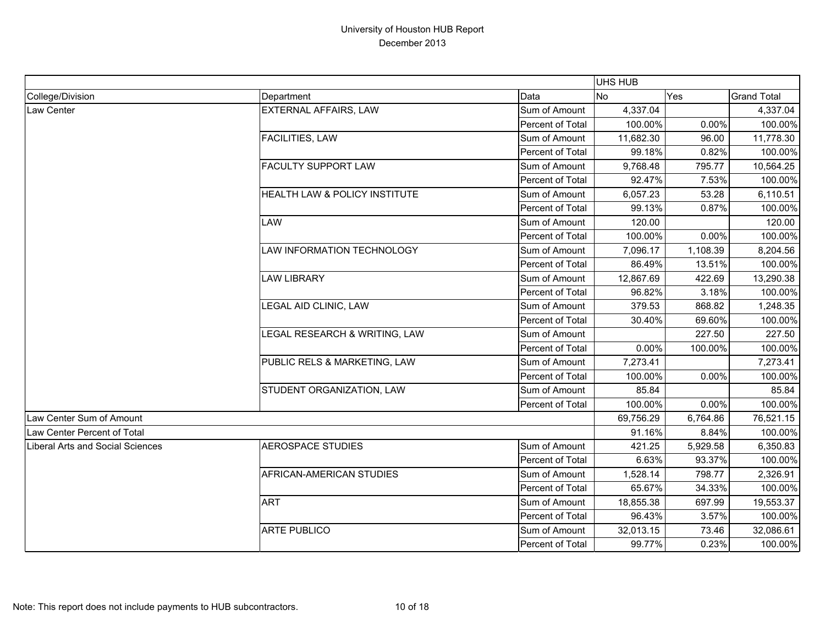|                                         |                                          |                  | <b>UHS HUB</b> |          |                    |
|-----------------------------------------|------------------------------------------|------------------|----------------|----------|--------------------|
| College/Division                        | Department                               | Data             | N <sub>o</sub> | Yes      | <b>Grand Total</b> |
| Law Center                              | <b>EXTERNAL AFFAIRS, LAW</b>             | Sum of Amount    | 4,337.04       |          | 4,337.04           |
|                                         |                                          | Percent of Total | 100.00%        | 0.00%    | 100.00%            |
|                                         | <b>FACILITIES, LAW</b>                   | Sum of Amount    | 11,682.30      | 96.00    | 11,778.30          |
|                                         |                                          | Percent of Total | 99.18%         | 0.82%    | 100.00%            |
|                                         | <b>FACULTY SUPPORT LAW</b>               | Sum of Amount    | 9,768.48       | 795.77   | 10,564.25          |
|                                         |                                          | Percent of Total | 92.47%         | 7.53%    | 100.00%            |
|                                         | <b>HEALTH LAW &amp; POLICY INSTITUTE</b> | Sum of Amount    | 6,057.23       | 53.28    | 6,110.51           |
|                                         |                                          | Percent of Total | 99.13%         | 0.87%    | 100.00%            |
|                                         | <b>LAW</b>                               | Sum of Amount    | 120.00         |          | 120.00             |
|                                         |                                          | Percent of Total | 100.00%        | 0.00%    | 100.00%            |
|                                         | <b>LAW INFORMATION TECHNOLOGY</b>        | Sum of Amount    | 7,096.17       | 1,108.39 | 8,204.56           |
|                                         |                                          | Percent of Total | 86.49%         | 13.51%   | 100.00%            |
|                                         | <b>LAW LIBRARY</b>                       | Sum of Amount    | 12,867.69      | 422.69   | 13,290.38          |
|                                         |                                          | Percent of Total | 96.82%         | 3.18%    | 100.00%            |
|                                         | LEGAL AID CLINIC, LAW                    | Sum of Amount    | 379.53         | 868.82   | 1,248.35           |
|                                         |                                          | Percent of Total | 30.40%         | 69.60%   | 100.00%            |
|                                         | LEGAL RESEARCH & WRITING, LAW            | Sum of Amount    |                | 227.50   | 227.50             |
|                                         |                                          | Percent of Total | 0.00%          | 100.00%  | 100.00%            |
|                                         | PUBLIC RELS & MARKETING, LAW             | Sum of Amount    | 7,273.41       |          | 7,273.41           |
|                                         |                                          | Percent of Total | 100.00%        | 0.00%    | 100.00%            |
|                                         | STUDENT ORGANIZATION, LAW                | Sum of Amount    | 85.84          |          | 85.84              |
|                                         |                                          | Percent of Total | 100.00%        | 0.00%    | 100.00%            |
| Law Center Sum of Amount                |                                          |                  | 69,756.29      | 6,764.86 | 76,521.15          |
| Law Center Percent of Total             |                                          |                  | 91.16%         | 8.84%    | 100.00%            |
| <b>Liberal Arts and Social Sciences</b> | <b>AEROSPACE STUDIES</b>                 | Sum of Amount    | 421.25         | 5,929.58 | 6,350.83           |
|                                         |                                          | Percent of Total | 6.63%          | 93.37%   | 100.00%            |
|                                         | <b>AFRICAN-AMERICAN STUDIES</b>          | Sum of Amount    | 1,528.14       | 798.77   | 2,326.91           |
|                                         |                                          | Percent of Total | 65.67%         | 34.33%   | 100.00%            |
|                                         | <b>ART</b>                               | Sum of Amount    | 18,855.38      | 697.99   | 19,553.37          |
|                                         |                                          | Percent of Total | 96.43%         | 3.57%    | 100.00%            |
|                                         | <b>ARTE PUBLICO</b>                      | Sum of Amount    | 32,013.15      | 73.46    | 32,086.61          |
|                                         |                                          | Percent of Total | 99.77%         | 0.23%    | 100.00%            |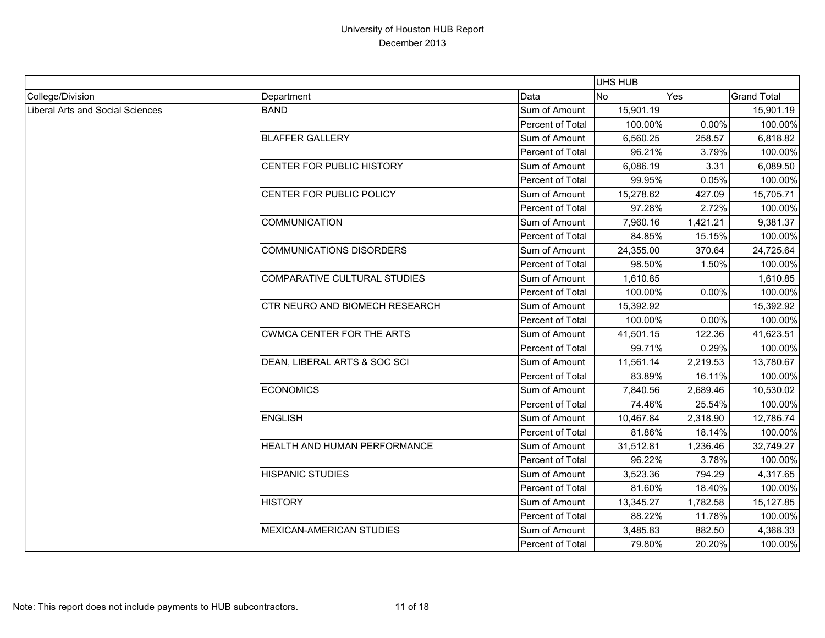|                                         |                                     |                  | <b>UHS HUB</b> |          |                    |
|-----------------------------------------|-------------------------------------|------------------|----------------|----------|--------------------|
| College/Division                        | Department                          | Data             | <b>No</b>      | Yes      | <b>Grand Total</b> |
| <b>Liberal Arts and Social Sciences</b> | <b>BAND</b>                         | Sum of Amount    | 15,901.19      |          | 15,901.19          |
|                                         |                                     | Percent of Total | 100.00%        | 0.00%    | 100.00%            |
|                                         | <b>BLAFFER GALLERY</b>              | Sum of Amount    | 6,560.25       | 258.57   | 6,818.82           |
|                                         |                                     | Percent of Total | 96.21%         | 3.79%    | 100.00%            |
|                                         | CENTER FOR PUBLIC HISTORY           | Sum of Amount    | 6,086.19       | 3.31     | 6,089.50           |
|                                         |                                     | Percent of Total | 99.95%         | 0.05%    | 100.00%            |
|                                         | CENTER FOR PUBLIC POLICY            | Sum of Amount    | 15,278.62      | 427.09   | 15,705.71          |
|                                         |                                     | Percent of Total | 97.28%         | 2.72%    | 100.00%            |
|                                         | <b>COMMUNICATION</b>                | Sum of Amount    | 7,960.16       | 1,421.21 | 9,381.37           |
|                                         |                                     | Percent of Total | 84.85%         | 15.15%   | 100.00%            |
|                                         | <b>COMMUNICATIONS DISORDERS</b>     | Sum of Amount    | 24,355.00      | 370.64   | 24,725.64          |
|                                         |                                     | Percent of Total | 98.50%         | 1.50%    | 100.00%            |
|                                         | <b>COMPARATIVE CULTURAL STUDIES</b> | Sum of Amount    | 1,610.85       |          | 1,610.85           |
|                                         |                                     | Percent of Total | 100.00%        | 0.00%    | 100.00%            |
|                                         | CTR NEURO AND BIOMECH RESEARCH      | Sum of Amount    | 15,392.92      |          | 15,392.92          |
|                                         |                                     | Percent of Total | 100.00%        | 0.00%    | 100.00%            |
|                                         | <b>CWMCA CENTER FOR THE ARTS</b>    | Sum of Amount    | 41,501.15      | 122.36   | 41,623.51          |
|                                         |                                     | Percent of Total | 99.71%         | 0.29%    | 100.00%            |
|                                         | DEAN, LIBERAL ARTS & SOC SCI        | Sum of Amount    | 11,561.14      | 2,219.53 | 13,780.67          |
|                                         |                                     | Percent of Total | 83.89%         | 16.11%   | 100.00%            |
|                                         | <b>ECONOMICS</b>                    | Sum of Amount    | 7,840.56       | 2,689.46 | 10,530.02          |
|                                         |                                     | Percent of Total | 74.46%         | 25.54%   | 100.00%            |
|                                         | <b>ENGLISH</b>                      | Sum of Amount    | 10,467.84      | 2,318.90 | 12,786.74          |
|                                         |                                     | Percent of Total | 81.86%         | 18.14%   | 100.00%            |
|                                         | HEALTH AND HUMAN PERFORMANCE        | Sum of Amount    | 31,512.81      | 1,236.46 | 32,749.27          |
|                                         |                                     | Percent of Total | 96.22%         | 3.78%    | 100.00%            |
|                                         | <b>HISPANIC STUDIES</b>             | Sum of Amount    | 3,523.36       | 794.29   | 4,317.65           |
|                                         |                                     | Percent of Total | 81.60%         | 18.40%   | 100.00%            |
|                                         | <b>HISTORY</b>                      | Sum of Amount    | 13,345.27      | 1,782.58 | 15,127.85          |
|                                         |                                     | Percent of Total | 88.22%         | 11.78%   | 100.00%            |
|                                         | <b>MEXICAN-AMERICAN STUDIES</b>     | Sum of Amount    | 3,485.83       | 882.50   | 4,368.33           |
|                                         |                                     | Percent of Total | 79.80%         | 20.20%   | 100.00%            |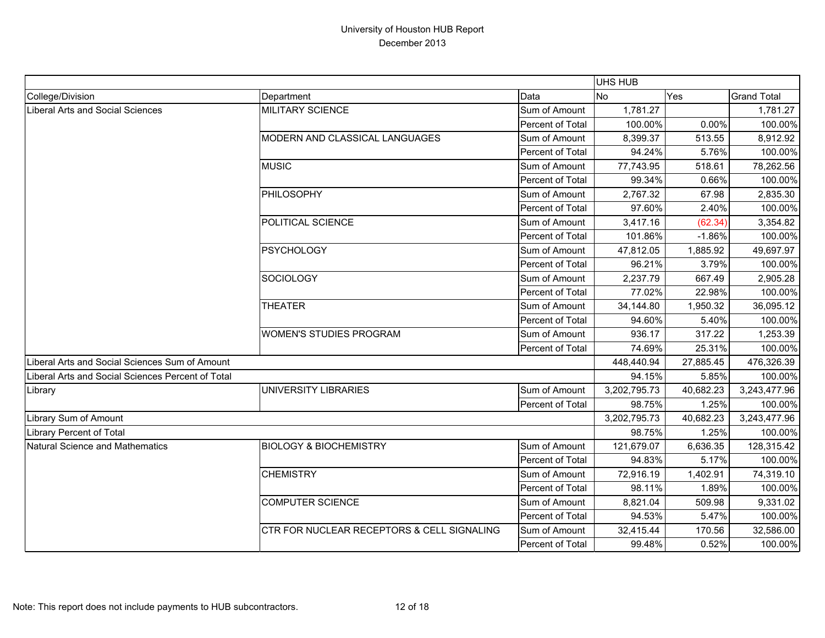|                                                   |                                            |                  | UHS HUB      |           |                    |
|---------------------------------------------------|--------------------------------------------|------------------|--------------|-----------|--------------------|
| College/Division                                  | Department                                 | Data             | <b>No</b>    | Yes       | <b>Grand Total</b> |
| Liberal Arts and Social Sciences                  | <b>MILITARY SCIENCE</b>                    | Sum of Amount    | 1,781.27     |           | 1,781.27           |
|                                                   |                                            | Percent of Total | 100.00%      | 0.00%     | 100.00%            |
|                                                   | MODERN AND CLASSICAL LANGUAGES             | Sum of Amount    | 8,399.37     | 513.55    | 8,912.92           |
|                                                   |                                            | Percent of Total | 94.24%       | 5.76%     | 100.00%            |
|                                                   | <b>MUSIC</b>                               | Sum of Amount    | 77,743.95    | 518.61    | 78,262.56          |
|                                                   |                                            | Percent of Total | 99.34%       | 0.66%     | 100.00%            |
|                                                   | <b>PHILOSOPHY</b>                          | Sum of Amount    | 2,767.32     | 67.98     | 2,835.30           |
|                                                   |                                            | Percent of Total | 97.60%       | 2.40%     | 100.00%            |
|                                                   | POLITICAL SCIENCE                          | Sum of Amount    | 3,417.16     | (62.34)   | 3,354.82           |
|                                                   |                                            | Percent of Total | 101.86%      | $-1.86%$  | 100.00%            |
|                                                   | <b>PSYCHOLOGY</b>                          | Sum of Amount    | 47,812.05    | 1,885.92  | 49,697.97          |
|                                                   |                                            | Percent of Total | 96.21%       | 3.79%     | 100.00%            |
|                                                   | <b>SOCIOLOGY</b>                           | Sum of Amount    | 2,237.79     | 667.49    | 2,905.28           |
|                                                   |                                            | Percent of Total | 77.02%       | 22.98%    | 100.00%            |
|                                                   | <b>THEATER</b>                             | Sum of Amount    | 34,144.80    | 1,950.32  | 36,095.12          |
|                                                   |                                            | Percent of Total | 94.60%       | 5.40%     | 100.00%            |
|                                                   | <b>WOMEN'S STUDIES PROGRAM</b>             | Sum of Amount    | 936.17       | 317.22    | 1,253.39           |
|                                                   |                                            | Percent of Total | 74.69%       | 25.31%    | 100.00%            |
| Liberal Arts and Social Sciences Sum of Amount    |                                            |                  | 448,440.94   | 27,885.45 | 476,326.39         |
| Liberal Arts and Social Sciences Percent of Total |                                            |                  | 94.15%       | 5.85%     | 100.00%            |
| Library                                           | UNIVERSITY LIBRARIES                       | Sum of Amount    | 3,202,795.73 | 40,682.23 | 3,243,477.96       |
|                                                   |                                            | Percent of Total | 98.75%       | 1.25%     | 100.00%            |
| Library Sum of Amount                             |                                            |                  | 3,202,795.73 | 40,682.23 | 3,243,477.96       |
| Library Percent of Total                          |                                            |                  | 98.75%       | 1.25%     | 100.00%            |
| Natural Science and Mathematics                   | <b>BIOLOGY &amp; BIOCHEMISTRY</b>          | Sum of Amount    | 121,679.07   | 6,636.35  | 128,315.42         |
|                                                   |                                            | Percent of Total | 94.83%       | 5.17%     | 100.00%            |
|                                                   | <b>CHEMISTRY</b>                           | Sum of Amount    | 72,916.19    | 1,402.91  | 74,319.10          |
|                                                   |                                            | Percent of Total | 98.11%       | 1.89%     | 100.00%            |
|                                                   | <b>COMPUTER SCIENCE</b>                    | Sum of Amount    | 8,821.04     | 509.98    | 9,331.02           |
|                                                   |                                            | Percent of Total | 94.53%       | 5.47%     | 100.00%            |
|                                                   | CTR FOR NUCLEAR RECEPTORS & CELL SIGNALING | Sum of Amount    | 32,415.44    | 170.56    | 32,586.00          |
|                                                   |                                            | Percent of Total | 99.48%       | 0.52%     | 100.00%            |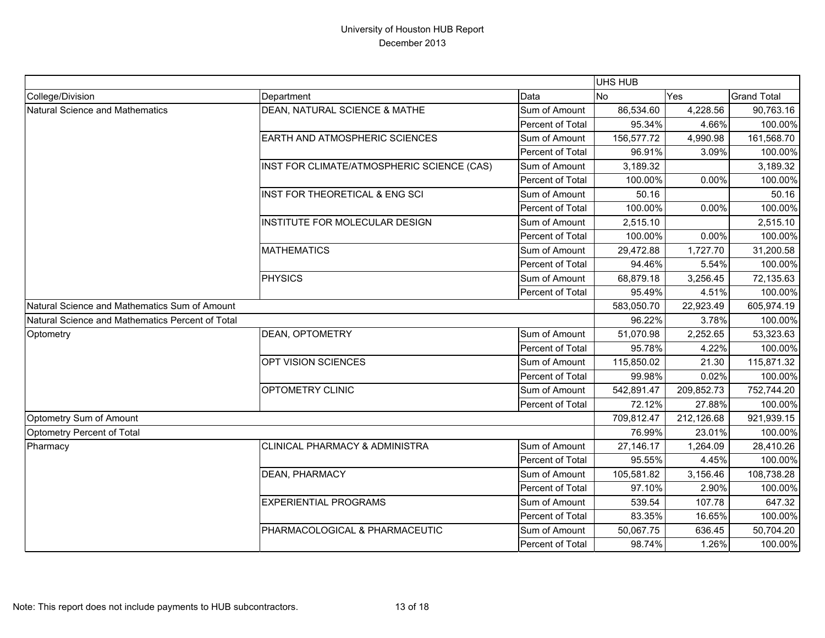|                                                  |                                            |                  | UHS HUB    |            |                    |
|--------------------------------------------------|--------------------------------------------|------------------|------------|------------|--------------------|
| College/Division                                 | Department                                 | Data             | <b>No</b>  | Yes        | <b>Grand Total</b> |
| Natural Science and Mathematics                  | DEAN, NATURAL SCIENCE & MATHE              | Sum of Amount    | 86,534.60  | 4,228.56   | 90,763.16          |
|                                                  |                                            | Percent of Total | 95.34%     | 4.66%      | 100.00%            |
|                                                  | <b>EARTH AND ATMOSPHERIC SCIENCES</b>      | Sum of Amount    | 156,577.72 | 4,990.98   | 161,568.70         |
|                                                  |                                            | Percent of Total | 96.91%     | 3.09%      | 100.00%            |
|                                                  | INST FOR CLIMATE/ATMOSPHERIC SCIENCE (CAS) | Sum of Amount    | 3,189.32   |            | 3,189.32           |
|                                                  |                                            | Percent of Total | 100.00%    | 0.00%      | 100.00%            |
|                                                  | INST FOR THEORETICAL & ENG SCI             | Sum of Amount    | 50.16      |            | 50.16              |
|                                                  |                                            | Percent of Total | 100.00%    | 0.00%      | 100.00%            |
|                                                  | INSTITUTE FOR MOLECULAR DESIGN             | Sum of Amount    | 2,515.10   |            | 2,515.10           |
|                                                  |                                            | Percent of Total | 100.00%    | 0.00%      | 100.00%            |
|                                                  | <b>MATHEMATICS</b>                         | Sum of Amount    | 29,472.88  | 1,727.70   | 31,200.58          |
|                                                  |                                            | Percent of Total | 94.46%     | 5.54%      | 100.00%            |
|                                                  | <b>PHYSICS</b>                             | Sum of Amount    | 68,879.18  | 3,256.45   | 72,135.63          |
|                                                  |                                            | Percent of Total | 95.49%     | 4.51%      | 100.00%            |
| Natural Science and Mathematics Sum of Amount    |                                            |                  | 583,050.70 | 22,923.49  | 605,974.19         |
| Natural Science and Mathematics Percent of Total |                                            | 96.22%           | 3.78%      | 100.00%    |                    |
| Optometry                                        | <b>DEAN, OPTOMETRY</b>                     | Sum of Amount    | 51,070.98  | 2,252.65   | 53,323.63          |
|                                                  |                                            | Percent of Total | 95.78%     | 4.22%      | 100.00%            |
|                                                  | OPT VISION SCIENCES                        | Sum of Amount    | 115,850.02 | 21.30      | 115,871.32         |
|                                                  |                                            | Percent of Total | 99.98%     | 0.02%      | 100.00%            |
|                                                  | <b>OPTOMETRY CLINIC</b>                    | Sum of Amount    | 542,891.47 | 209,852.73 | 752,744.20         |
|                                                  |                                            | Percent of Total | 72.12%     | 27.88%     | 100.00%            |
| Optometry Sum of Amount                          |                                            |                  | 709,812.47 | 212,126.68 | 921,939.15         |
| Optometry Percent of Total                       |                                            |                  | 76.99%     | 23.01%     | 100.00%            |
| Pharmacy                                         | <b>CLINICAL PHARMACY &amp; ADMINISTRA</b>  | Sum of Amount    | 27,146.17  | 1,264.09   | 28,410.26          |
|                                                  |                                            | Percent of Total | 95.55%     | 4.45%      | 100.00%            |
|                                                  | <b>DEAN, PHARMACY</b>                      | Sum of Amount    | 105,581.82 | 3,156.46   | 108,738.28         |
|                                                  |                                            | Percent of Total | 97.10%     | 2.90%      | 100.00%            |
|                                                  | <b>EXPERIENTIAL PROGRAMS</b>               | Sum of Amount    | 539.54     | 107.78     | 647.32             |
|                                                  |                                            | Percent of Total | 83.35%     | 16.65%     | 100.00%            |
|                                                  | PHARMACOLOGICAL & PHARMACEUTIC             | Sum of Amount    | 50,067.75  | 636.45     | 50,704.20          |
|                                                  |                                            | Percent of Total | 98.74%     | 1.26%      | 100.00%            |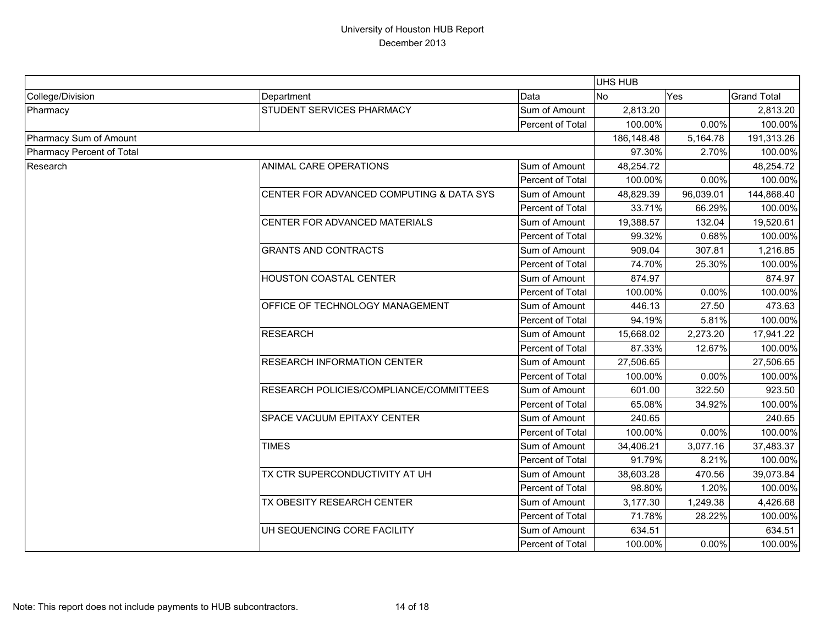|                           |                                          |                  | <b>UHS HUB</b> |           |                    |
|---------------------------|------------------------------------------|------------------|----------------|-----------|--------------------|
| College/Division          | Department                               | Data             | <b>No</b>      | Yes       | <b>Grand Total</b> |
| Pharmacy                  | <b>STUDENT SERVICES PHARMACY</b>         | Sum of Amount    | 2,813.20       |           | 2,813.20           |
|                           |                                          | Percent of Total | 100.00%        | 0.00%     | 100.00%            |
| Pharmacy Sum of Amount    |                                          |                  | 186,148.48     | 5,164.78  | 191,313.26         |
| Pharmacy Percent of Total |                                          |                  | 97.30%         | 2.70%     | 100.00%            |
| Research                  | ANIMAL CARE OPERATIONS                   | Sum of Amount    | 48,254.72      |           | 48,254.72          |
|                           |                                          | Percent of Total | 100.00%        | 0.00%     | 100.00%            |
|                           | CENTER FOR ADVANCED COMPUTING & DATA SYS | Sum of Amount    | 48,829.39      | 96,039.01 | 144,868.40         |
|                           |                                          | Percent of Total | 33.71%         | 66.29%    | 100.00%            |
|                           | CENTER FOR ADVANCED MATERIALS            | Sum of Amount    | 19,388.57      | 132.04    | 19,520.61          |
|                           |                                          | Percent of Total | 99.32%         | 0.68%     | 100.00%            |
|                           | <b>GRANTS AND CONTRACTS</b>              | Sum of Amount    | 909.04         | 307.81    | 1,216.85           |
|                           |                                          | Percent of Total | 74.70%         | 25.30%    | 100.00%            |
|                           | <b>HOUSTON COASTAL CENTER</b>            | Sum of Amount    | 874.97         |           | 874.97             |
|                           |                                          | Percent of Total | 100.00%        | 0.00%     | 100.00%            |
|                           | OFFICE OF TECHNOLOGY MANAGEMENT          | Sum of Amount    | 446.13         | 27.50     | 473.63             |
|                           |                                          | Percent of Total | 94.19%         | 5.81%     | 100.00%            |
|                           | <b>RESEARCH</b>                          | Sum of Amount    | 15,668.02      | 2,273.20  | 17,941.22          |
|                           |                                          | Percent of Total | 87.33%         | 12.67%    | 100.00%            |
|                           | <b>RESEARCH INFORMATION CENTER</b>       | Sum of Amount    | 27,506.65      |           | 27,506.65          |
|                           |                                          | Percent of Total | 100.00%        | 0.00%     | 100.00%            |
|                           | RESEARCH POLICIES/COMPLIANCE/COMMITTEES  | Sum of Amount    | 601.00         | 322.50    | 923.50             |
|                           |                                          | Percent of Total | 65.08%         | 34.92%    | 100.00%            |
|                           | <b>SPACE VACUUM EPITAXY CENTER</b>       | Sum of Amount    | 240.65         |           | 240.65             |
|                           |                                          | Percent of Total | 100.00%        | 0.00%     | 100.00%            |
|                           | <b>TIMES</b>                             | Sum of Amount    | 34,406.21      | 3,077.16  | 37,483.37          |
|                           |                                          | Percent of Total | 91.79%         | 8.21%     | 100.00%            |
|                           | TX CTR SUPERCONDUCTIVITY AT UH           | Sum of Amount    | 38,603.28      | 470.56    | 39,073.84          |
|                           |                                          | Percent of Total | 98.80%         | 1.20%     | 100.00%            |
|                           | <b>TX OBESITY RESEARCH CENTER</b>        | Sum of Amount    | 3,177.30       | 1,249.38  | 4,426.68           |
|                           |                                          | Percent of Total | 71.78%         | 28.22%    | 100.00%            |
|                           | UH SEQUENCING CORE FACILITY              | Sum of Amount    | 634.51         |           | 634.51             |
|                           |                                          | Percent of Total | 100.00%        | 0.00%     | 100.00%            |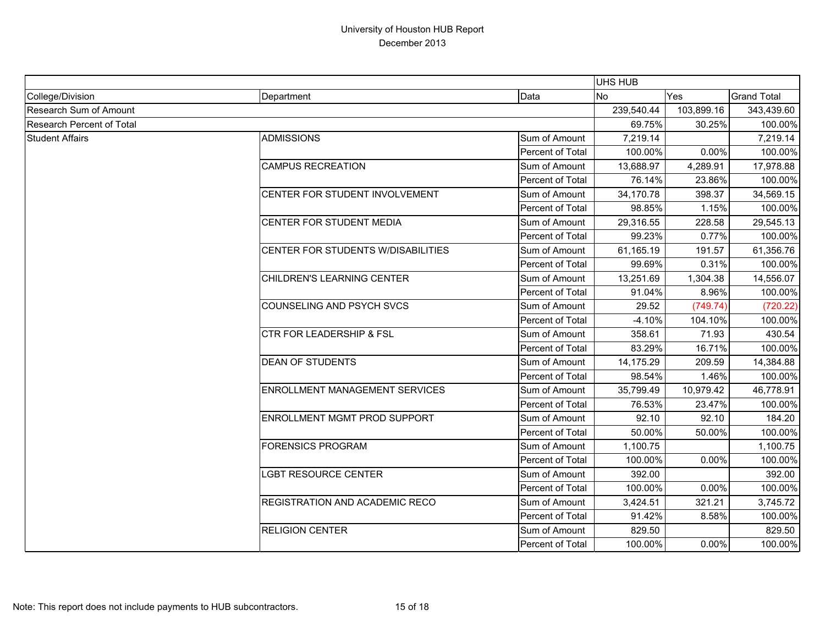|                           |                                       |                         | <b>UHS HUB</b> |            |                    |
|---------------------------|---------------------------------------|-------------------------|----------------|------------|--------------------|
| College/Division          | Department                            | Data                    | <b>No</b>      | <b>Yes</b> | <b>Grand Total</b> |
| Research Sum of Amount    |                                       |                         | 239,540.44     | 103,899.16 | 343,439.60         |
| Research Percent of Total |                                       |                         | 69.75%         | 30.25%     | 100.00%            |
| <b>Student Affairs</b>    | <b>ADMISSIONS</b>                     | Sum of Amount           | 7,219.14       |            | 7,219.14           |
|                           |                                       | Percent of Total        | 100.00%        | 0.00%      | 100.00%            |
|                           | <b>CAMPUS RECREATION</b>              | Sum of Amount           | 13,688.97      | 4,289.91   | 17,978.88          |
|                           |                                       | Percent of Total        | 76.14%         | 23.86%     | 100.00%            |
|                           | CENTER FOR STUDENT INVOLVEMENT        | Sum of Amount           | 34,170.78      | 398.37     | 34,569.15          |
|                           |                                       | Percent of Total        | 98.85%         | 1.15%      | 100.00%            |
|                           | CENTER FOR STUDENT MEDIA              | Sum of Amount           | 29,316.55      | 228.58     | 29,545.13          |
|                           |                                       | Percent of Total        | 99.23%         | 0.77%      | 100.00%            |
|                           | CENTER FOR STUDENTS W/DISABILITIES    | Sum of Amount           | 61,165.19      | 191.57     | 61,356.76          |
|                           |                                       | Percent of Total        | 99.69%         | 0.31%      | 100.00%            |
|                           | CHILDREN'S LEARNING CENTER            | Sum of Amount           | 13,251.69      | 1,304.38   | 14,556.07          |
|                           |                                       | Percent of Total        | 91.04%         | 8.96%      | 100.00%            |
|                           | <b>COUNSELING AND PSYCH SVCS</b>      | Sum of Amount           | 29.52          | (749.74)   | (720.22)           |
|                           |                                       | Percent of Total        | $-4.10%$       | 104.10%    | 100.00%            |
|                           | <b>CTR FOR LEADERSHIP &amp; FSL</b>   | Sum of Amount           | 358.61         | 71.93      | 430.54             |
|                           |                                       | Percent of Total        | 83.29%         | 16.71%     | 100.00%            |
|                           | <b>DEAN OF STUDENTS</b>               | Sum of Amount           | 14,175.29      | 209.59     | 14,384.88          |
|                           |                                       | Percent of Total        | 98.54%         | 1.46%      | 100.00%            |
|                           | ENROLLMENT MANAGEMENT SERVICES        | Sum of Amount           | 35,799.49      | 10,979.42  | 46,778.91          |
|                           |                                       | Percent of Total        | 76.53%         | 23.47%     | 100.00%            |
|                           | ENROLLMENT MGMT PROD SUPPORT          | Sum of Amount           | 92.10          | 92.10      | 184.20             |
|                           |                                       | Percent of Total        | 50.00%         | 50.00%     | 100.00%            |
|                           | <b>FORENSICS PROGRAM</b>              | Sum of Amount           | 1,100.75       |            | 1,100.75           |
|                           |                                       | Percent of Total        | 100.00%        | 0.00%      | 100.00%            |
|                           | <b>LGBT RESOURCE CENTER</b>           | Sum of Amount           | 392.00         |            | 392.00             |
|                           |                                       | Percent of Total        | 100.00%        | 0.00%      | 100.00%            |
|                           | <b>REGISTRATION AND ACADEMIC RECO</b> | Sum of Amount           | 3,424.51       | 321.21     | 3,745.72           |
|                           |                                       | Percent of Total        | 91.42%         | 8.58%      | 100.00%            |
|                           | <b>RELIGION CENTER</b>                | Sum of Amount           | 829.50         |            | 829.50             |
|                           |                                       | <b>Percent of Total</b> | 100.00%        | 0.00%      | 100.00%            |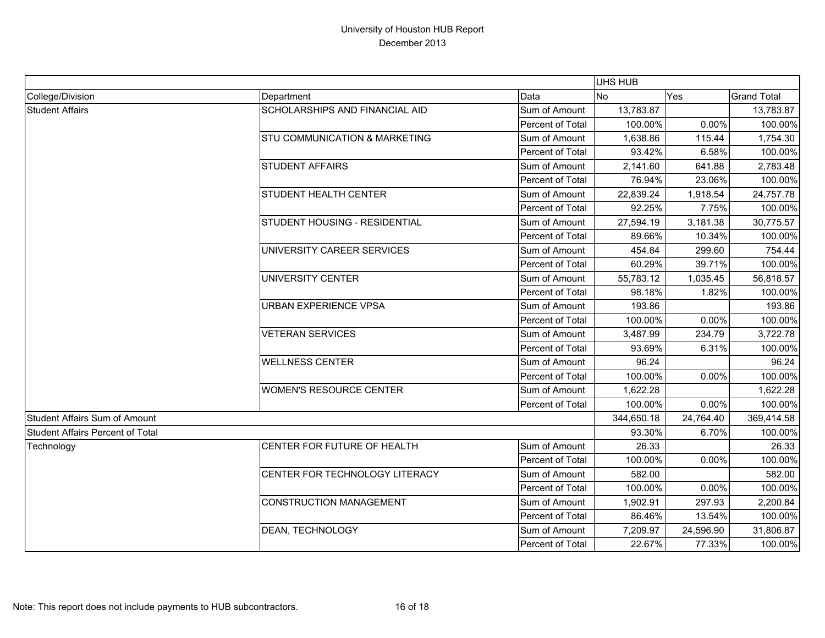|                                         |                                          |                  | UHS HUB    |           |                    |
|-----------------------------------------|------------------------------------------|------------------|------------|-----------|--------------------|
| College/Division                        | Department                               | Data             | <b>No</b>  | Yes       | <b>Grand Total</b> |
| <b>Student Affairs</b>                  | <b>SCHOLARSHIPS AND FINANCIAL AID</b>    | Sum of Amount    | 13,783.87  |           | 13,783.87          |
|                                         |                                          | Percent of Total | 100.00%    | 0.00%     | 100.00%            |
|                                         | <b>STU COMMUNICATION &amp; MARKETING</b> | Sum of Amount    | 1,638.86   | 115.44    | 1,754.30           |
|                                         |                                          | Percent of Total | 93.42%     | 6.58%     | 100.00%            |
|                                         | <b>STUDENT AFFAIRS</b>                   | Sum of Amount    | 2,141.60   | 641.88    | 2,783.48           |
|                                         |                                          | Percent of Total | 76.94%     | 23.06%    | 100.00%            |
|                                         | <b>STUDENT HEALTH CENTER</b>             | Sum of Amount    | 22,839.24  | 1,918.54  | 24,757.78          |
|                                         |                                          | Percent of Total | 92.25%     | 7.75%     | 100.00%            |
|                                         | STUDENT HOUSING - RESIDENTIAL            | Sum of Amount    | 27,594.19  | 3,181.38  | 30,775.57          |
|                                         |                                          | Percent of Total | 89.66%     | 10.34%    | 100.00%            |
|                                         | UNIVERSITY CAREER SERVICES               | Sum of Amount    | 454.84     | 299.60    | 754.44             |
|                                         |                                          | Percent of Total | 60.29%     | 39.71%    | 100.00%            |
|                                         | UNIVERSITY CENTER                        | Sum of Amount    | 55,783.12  | 1,035.45  | 56,818.57          |
|                                         |                                          | Percent of Total | 98.18%     | 1.82%     | 100.00%            |
|                                         | <b>URBAN EXPERIENCE VPSA</b>             | Sum of Amount    | 193.86     |           | 193.86             |
|                                         |                                          | Percent of Total | 100.00%    | 0.00%     | 100.00%            |
|                                         | <b>VETERAN SERVICES</b>                  | Sum of Amount    | 3,487.99   | 234.79    | 3,722.78           |
|                                         |                                          | Percent of Total | 93.69%     | 6.31%     | 100.00%            |
|                                         | <b>WELLNESS CENTER</b>                   | Sum of Amount    | 96.24      |           | 96.24              |
|                                         |                                          | Percent of Total | 100.00%    | 0.00%     | 100.00%            |
|                                         | <b>WOMEN'S RESOURCE CENTER</b>           | Sum of Amount    | 1,622.28   |           | 1,622.28           |
|                                         |                                          | Percent of Total | 100.00%    | 0.00%     | 100.00%            |
| Student Affairs Sum of Amount           |                                          |                  | 344,650.18 | 24,764.40 | 369,414.58         |
| <b>Student Affairs Percent of Total</b> |                                          |                  | 93.30%     | 6.70%     | 100.00%            |
| Technology                              | <b>CENTER FOR FUTURE OF HEALTH</b>       | Sum of Amount    | 26.33      |           | 26.33              |
|                                         |                                          | Percent of Total | 100.00%    | 0.00%     | 100.00%            |
|                                         | <b>CENTER FOR TECHNOLOGY LITERACY</b>    | Sum of Amount    | 582.00     |           | 582.00             |
|                                         |                                          | Percent of Total | 100.00%    | 0.00%     | 100.00%            |
|                                         | CONSTRUCTION MANAGEMENT                  | Sum of Amount    | 1,902.91   | 297.93    | 2,200.84           |
|                                         |                                          | Percent of Total | 86.46%     | 13.54%    | 100.00%            |
|                                         | <b>DEAN, TECHNOLOGY</b>                  | Sum of Amount    | 7,209.97   | 24,596.90 | 31,806.87          |
|                                         |                                          | Percent of Total | 22.67%     | 77.33%    | 100.00%            |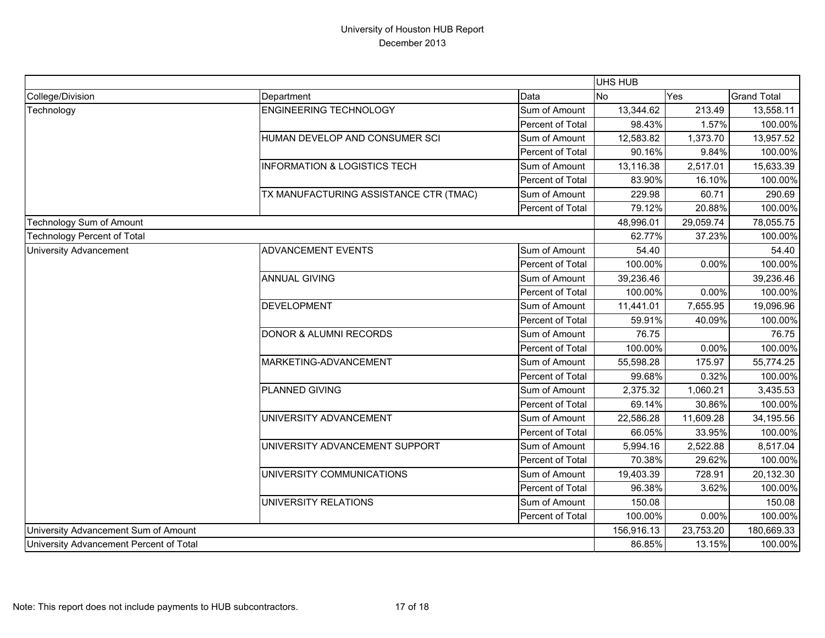|                                         |                                         |                  | UHS HUB   |            |                    |
|-----------------------------------------|-----------------------------------------|------------------|-----------|------------|--------------------|
| College/Division                        | Department                              | Data             | <b>No</b> | Yes        | <b>Grand Total</b> |
| Technology                              | <b>ENGINEERING TECHNOLOGY</b>           | Sum of Amount    | 13,344.62 | 213.49     | 13,558.11          |
|                                         |                                         | Percent of Total | 98.43%    | 1.57%      | 100.00%            |
|                                         | HUMAN DEVELOP AND CONSUMER SCI          | Sum of Amount    | 12,583.82 | 1,373.70   | 13,957.52          |
|                                         |                                         | Percent of Total | 90.16%    | 9.84%      | 100.00%            |
|                                         | <b>INFORMATION &amp; LOGISTICS TECH</b> | Sum of Amount    | 13,116.38 | 2,517.01   | 15,633.39          |
|                                         |                                         | Percent of Total | 83.90%    | 16.10%     | 100.00%            |
|                                         | TX MANUFACTURING ASSISTANCE CTR (TMAC)  | Sum of Amount    | 229.98    | 60.71      | 290.69             |
|                                         |                                         | Percent of Total | 79.12%    | 20.88%     | 100.00%            |
| <b>Technology Sum of Amount</b>         |                                         |                  | 48,996.01 | 29,059.74  | 78,055.75          |
| <b>Technology Percent of Total</b>      |                                         |                  | 62.77%    | 37.23%     | 100.00%            |
| <b>University Advancement</b>           | <b>ADVANCEMENT EVENTS</b>               | Sum of Amount    | 54.40     |            | 54.40              |
|                                         |                                         | Percent of Total | 100.00%   | 0.00%      | 100.00%            |
|                                         | <b>ANNUAL GIVING</b>                    | Sum of Amount    | 39,236.46 |            | 39,236.46          |
|                                         |                                         | Percent of Total | 100.00%   | 0.00%      | 100.00%            |
|                                         | <b>DEVELOPMENT</b>                      | Sum of Amount    | 11,441.01 | 7,655.95   | 19,096.96          |
|                                         |                                         | Percent of Total | 59.91%    | 40.09%     | 100.00%            |
|                                         | <b>DONOR &amp; ALUMNI RECORDS</b>       | Sum of Amount    | 76.75     |            | 76.75              |
|                                         |                                         | Percent of Total | 100.00%   | 0.00%      | 100.00%            |
|                                         | MARKETING-ADVANCEMENT                   | Sum of Amount    | 55,598.28 | 175.97     | 55,774.25          |
|                                         |                                         | Percent of Total | 99.68%    | 0.32%      | 100.00%            |
|                                         | PLANNED GIVING                          | Sum of Amount    | 2,375.32  | 1,060.21   | 3,435.53           |
|                                         |                                         | Percent of Total | 69.14%    | 30.86%     | 100.00%            |
|                                         | UNIVERSITY ADVANCEMENT                  | Sum of Amount    | 22,586.28 | 11,609.28  | 34,195.56          |
|                                         |                                         | Percent of Total | 66.05%    | 33.95%     | 100.00%            |
|                                         | UNIVERSITY ADVANCEMENT SUPPORT          | Sum of Amount    | 5,994.16  | 2,522.88   | 8,517.04           |
|                                         |                                         | Percent of Total | 70.38%    | 29.62%     | 100.00%            |
|                                         | UNIVERSITY COMMUNICATIONS               | Sum of Amount    | 19,403.39 | 728.91     | 20,132.30          |
|                                         |                                         | Percent of Total | 96.38%    | 3.62%      | 100.00%            |
|                                         | UNIVERSITY RELATIONS                    | Sum of Amount    | 150.08    |            | 150.08             |
|                                         |                                         | Percent of Total | 100.00%   | 0.00%      | 100.00%            |
| University Advancement Sum of Amount    |                                         | 156,916.13       | 23,753.20 | 180,669.33 |                    |
| University Advancement Percent of Total |                                         |                  | 86.85%    | 13.15%     | 100.00%            |